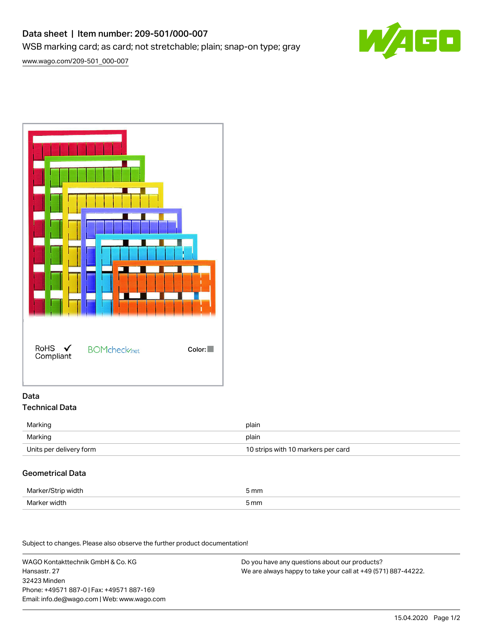## Data sheet | Item number: 209-501/000-007

WSB marking card; as card; not stretchable; plain; snap-on type; gray

[www.wago.com/209-501\\_000-007](http://www.wago.com/209-501_000-007)



#### Data Technical Data

| Marking                 | plain                              |
|-------------------------|------------------------------------|
| Marking                 | plain                              |
| Units per delivery form | 10 strips with 10 markers per card |

### Geometrical Data

| Marker            | mm   |
|-------------------|------|
| vidth             |      |
| Marker y<br>vidth | 5 mm |

Subject to changes. Please also observe the further product documentation!

WAGO Kontakttechnik GmbH & Co. KG Hansastr. 27 32423 Minden Phone: +49571 887-0 | Fax: +49571 887-169 Email: info.de@wago.com | Web: www.wago.com

Do you have any questions about our products? We are always happy to take your call at +49 (571) 887-44222.